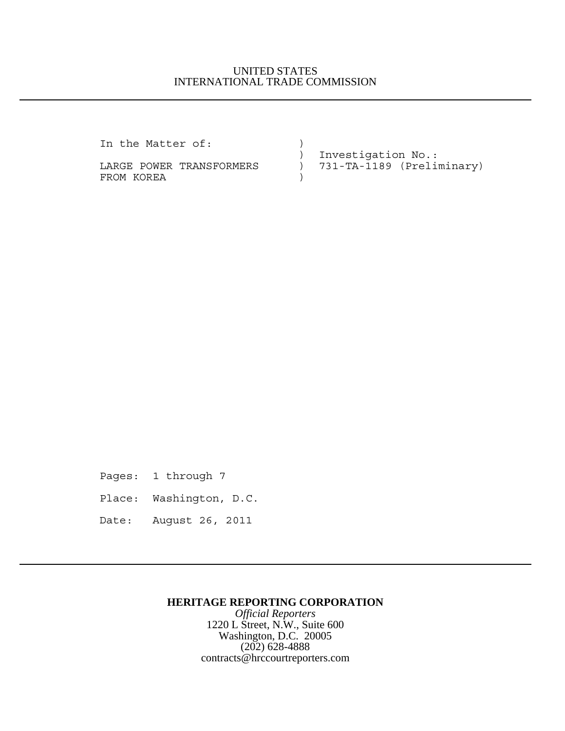## UNITED STATES INTERNATIONAL TRADE COMMISSION

In the Matter of:  $)$ 

FROM KOREA

 ) Investigation No.: LARGE POWER TRANSFORMERS ) 731-TA-1189 (Preliminary)

Pages: 1 through 7

Place: Washington, D.C.

Date: August 26, 2011

## **HERITAGE REPORTING CORPORATION**

*Official Reporters* 1220 L Street, N.W., Suite 600 Washington, D.C. 20005 (202) 628-4888 contracts@hrccourtreporters.com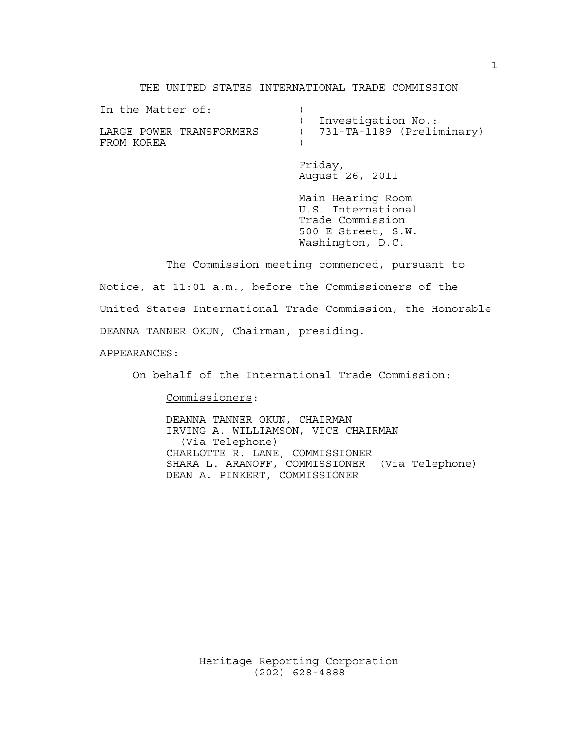#### THE UNITED STATES INTERNATIONAL TRADE COMMISSION

| In the Matter of:                      | Investigation No.:         |
|----------------------------------------|----------------------------|
| LARGE POWER TRANSFORMERS<br>FROM KOREA | 731-TA-1189 (Preliminary)  |
|                                        | Friday,<br>August 26, 2011 |

Main Hearing Room U.S. International Trade Commission 500 E Street, S.W. Washington, D.C.

The Commission meeting commenced, pursuant to

Notice, at 11:01 a.m., before the Commissioners of the

United States International Trade Commission, the Honorable

DEANNA TANNER OKUN, Chairman, presiding.

APPEARANCES:

On behalf of the International Trade Commission:

Commissioners:

DEANNA TANNER OKUN, CHAIRMAN IRVING A. WILLIAMSON, VICE CHAIRMAN (Via Telephone) CHARLOTTE R. LANE, COMMISSIONER SHARA L. ARANOFF, COMMISSIONER (Via Telephone) DEAN A. PINKERT, COMMISSIONER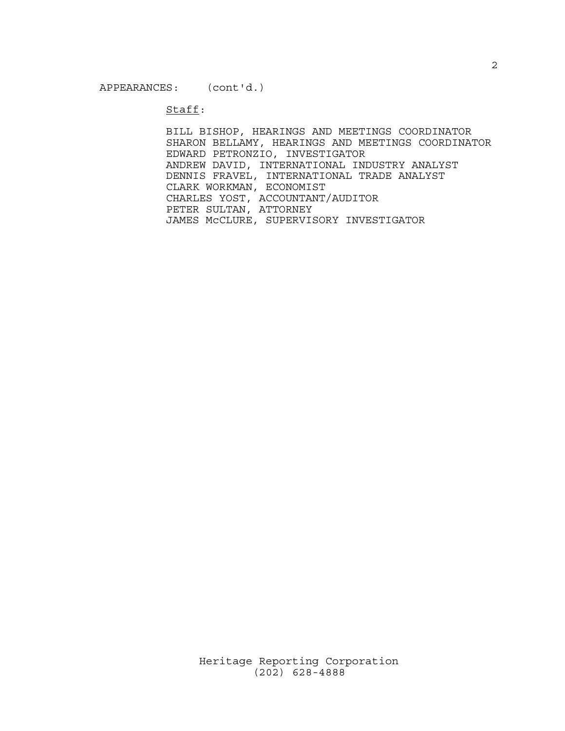#### Staff:

BILL BISHOP, HEARINGS AND MEETINGS COORDINATOR SHARON BELLAMY, HEARINGS AND MEETINGS COORDINATOR EDWARD PETRONZIO, INVESTIGATOR ANDREW DAVID, INTERNATIONAL INDUSTRY ANALYST DENNIS FRAVEL, INTERNATIONAL TRADE ANALYST CLARK WORKMAN, ECONOMIST CHARLES YOST, ACCOUNTANT/AUDITOR PETER SULTAN, ATTORNEY JAMES McCLURE, SUPERVISORY INVESTIGATOR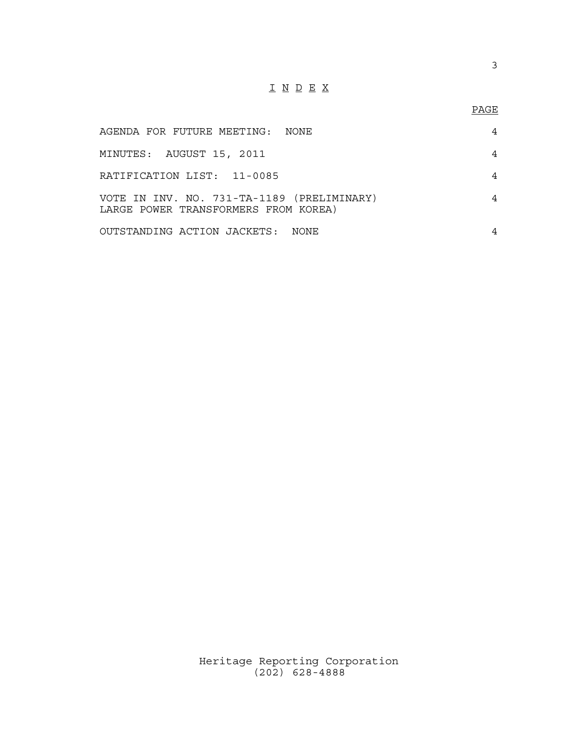# I N D E X

## PAGE

| AGENDA FOR FUTURE MEETING: NONE                                                    | 4 |
|------------------------------------------------------------------------------------|---|
| MINUTES: AUGUST 15, 2011                                                           | 4 |
| RATIFICATION LIST: 11-0085                                                         | 4 |
| VOTE IN INV. NO. 731-TA-1189 (PRELIMINARY)<br>LARGE POWER TRANSFORMERS FROM KOREA) | 4 |
| OUTSTANDING ACTION JACKETS: NONE                                                   | 4 |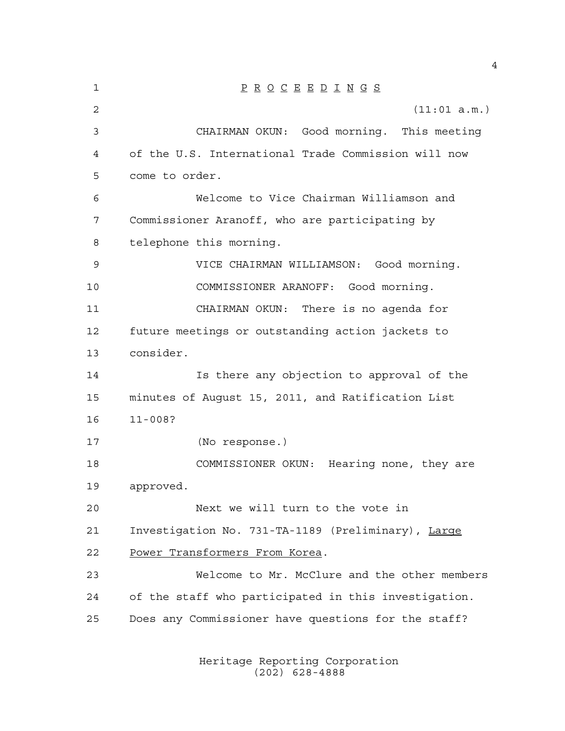| $\mathbf 1$ | $\underline{P} \underline{R} \underline{O} \underline{C} \underline{E} \underline{E} \underline{D} \underline{I} \underline{N} \underline{G} \underline{S}$ |
|-------------|-------------------------------------------------------------------------------------------------------------------------------------------------------------|
| 2           | (11:01 a.m.)                                                                                                                                                |
| 3           | CHAIRMAN OKUN: Good morning. This meeting                                                                                                                   |
| 4           | of the U.S. International Trade Commission will now                                                                                                         |
| 5           | come to order.                                                                                                                                              |
| 6           | Welcome to Vice Chairman Williamson and                                                                                                                     |
| 7           | Commissioner Aranoff, who are participating by                                                                                                              |
| 8           | telephone this morning.                                                                                                                                     |
| 9           | VICE CHAIRMAN WILLIAMSON: Good morning.                                                                                                                     |
| 10          | COMMISSIONER ARANOFF: Good morning.                                                                                                                         |
| 11          | CHAIRMAN OKUN: There is no agenda for                                                                                                                       |
| 12          | future meetings or outstanding action jackets to                                                                                                            |
| 13          | consider.                                                                                                                                                   |
| 14          | Is there any objection to approval of the                                                                                                                   |
| 15          | minutes of August 15, 2011, and Ratification List                                                                                                           |
| 16          | $11 - 008?$                                                                                                                                                 |
| 17          | (No response.)                                                                                                                                              |
| 18          | COMMISSIONER OKUN: Hearing none, they are                                                                                                                   |
| 19          | approved.                                                                                                                                                   |
| 20          | Next we will turn to the vote in                                                                                                                            |
| 21          | Investigation No. 731-TA-1189 (Preliminary), Large                                                                                                          |
| 22          | Power Transformers From Korea.                                                                                                                              |
| 23          | Welcome to Mr. McClure and the other members                                                                                                                |
| 24          | of the staff who participated in this investigation.                                                                                                        |
| 25          | Does any Commissioner have questions for the staff?                                                                                                         |
|             |                                                                                                                                                             |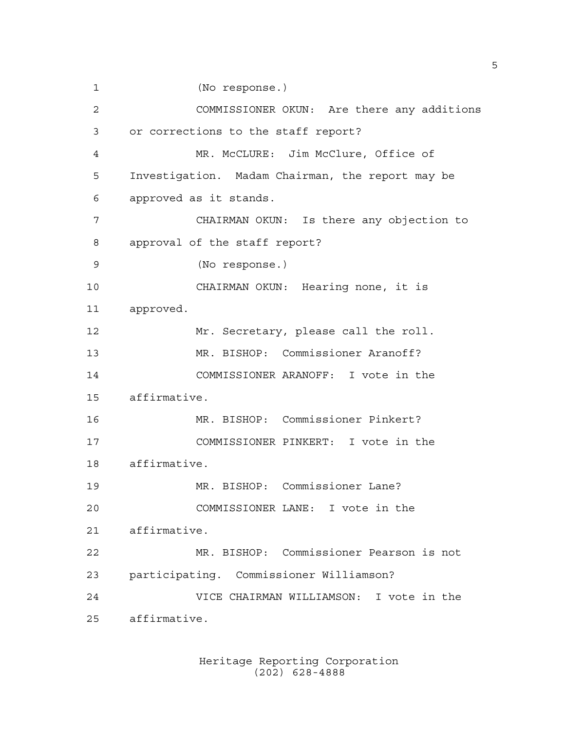(No response.) COMMISSIONER OKUN: Are there any additions or corrections to the staff report? MR. McCLURE: Jim McClure, Office of Investigation. Madam Chairman, the report may be approved as it stands. CHAIRMAN OKUN: Is there any objection to approval of the staff report? (No response.) CHAIRMAN OKUN: Hearing none, it is approved. Mr. Secretary, please call the roll. MR. BISHOP: Commissioner Aranoff? COMMISSIONER ARANOFF: I vote in the affirmative. MR. BISHOP: Commissioner Pinkert? COMMISSIONER PINKERT: I vote in the affirmative. MR. BISHOP: Commissioner Lane? COMMISSIONER LANE: I vote in the affirmative. MR. BISHOP: Commissioner Pearson is not participating. Commissioner Williamson? VICE CHAIRMAN WILLIAMSON: I vote in the affirmative.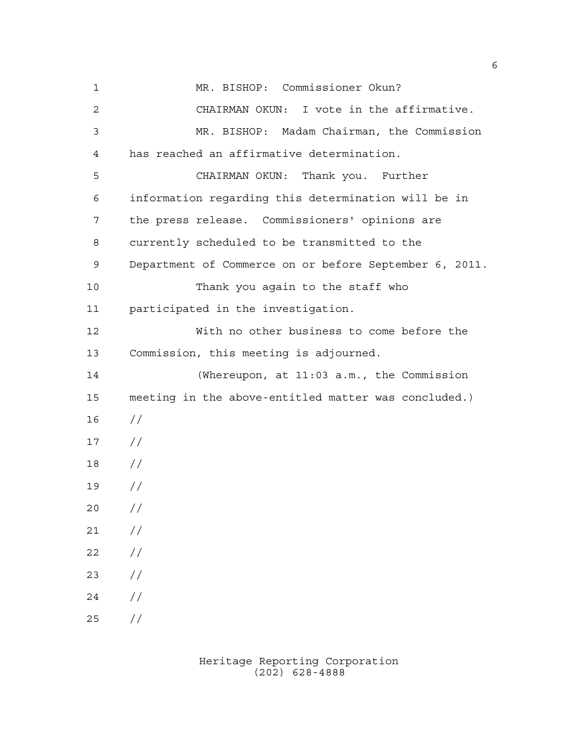MR. BISHOP: Commissioner Okun? CHAIRMAN OKUN: I vote in the affirmative. MR. BISHOP: Madam Chairman, the Commission has reached an affirmative determination. CHAIRMAN OKUN: Thank you. Further information regarding this determination will be in the press release. Commissioners' opinions are currently scheduled to be transmitted to the Department of Commerce on or before September 6, 2011. Thank you again to the staff who participated in the investigation. With no other business to come before the Commission, this meeting is adjourned. (Whereupon, at 11:03 a.m., the Commission meeting in the above-entitled matter was concluded.) //  $17 /$  // //  $20 /$  $21 /$  $22 / /$  //  $24 /$  $25 / /$